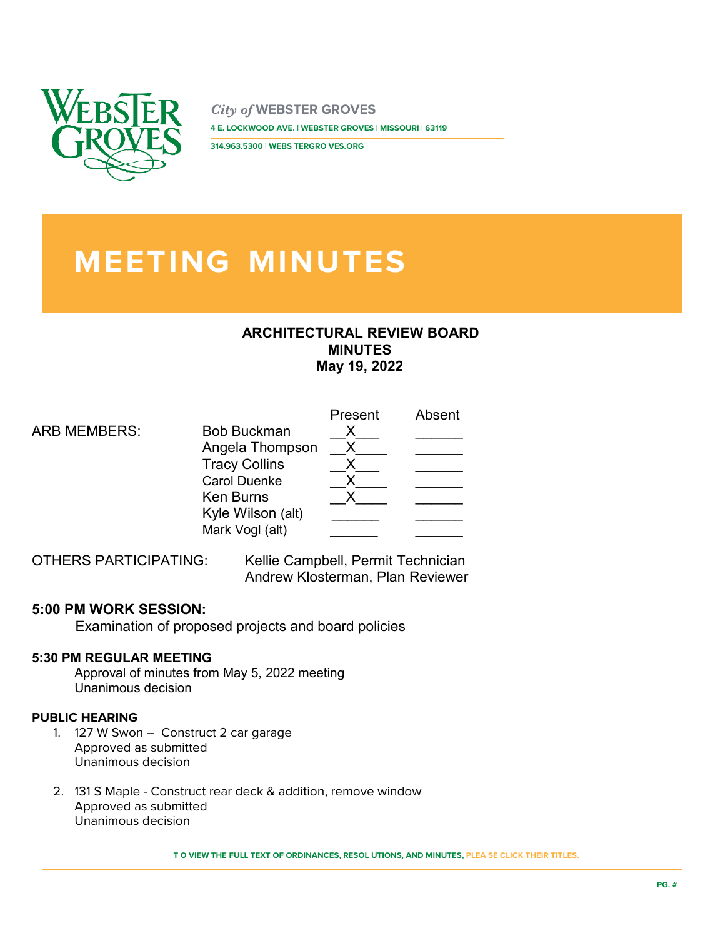

*City of* **WEBSTER GROVES 4 E. LOCKWOOD AVE. | WEBSTER GROVES | MISSOURI | 63119** 

**314.963.5300 | WEBS TERGRO VES.ORG** 

# **MEETING MINUTES**

## **ARCHITECTURAL REVIEW BOARD MINUTES May 19, 2022**

|                     |                      | Present | Absent |
|---------------------|----------------------|---------|--------|
| <b>ARB MEMBERS:</b> | <b>Bob Buckman</b>   |         |        |
|                     | Angela Thompson      |         |        |
|                     | <b>Tracy Collins</b> |         |        |
|                     | <b>Carol Duenke</b>  |         |        |
|                     | <b>Ken Burns</b>     |         |        |
|                     | Kyle Wilson (alt)    |         |        |
|                     | Mark Vogl (alt)      |         |        |

OTHERS PARTICIPATING: Kellie Campbell, Permit Technician Andrew Klosterman, Plan Reviewer

## **5:00 PM WORK SESSION:**

Examination of proposed projects and board policies

## **5:30 PM REGULAR MEETING**

Approval of minutes from May 5, 2022 meeting Unanimous decision

### **PUBLIC HEARING**

- 1. 127 W Swon Construct 2 car garage Approved as submitted Unanimous decision
- 2. 131 S Maple Construct rear deck & addition, remove window Approved as submitted Unanimous decision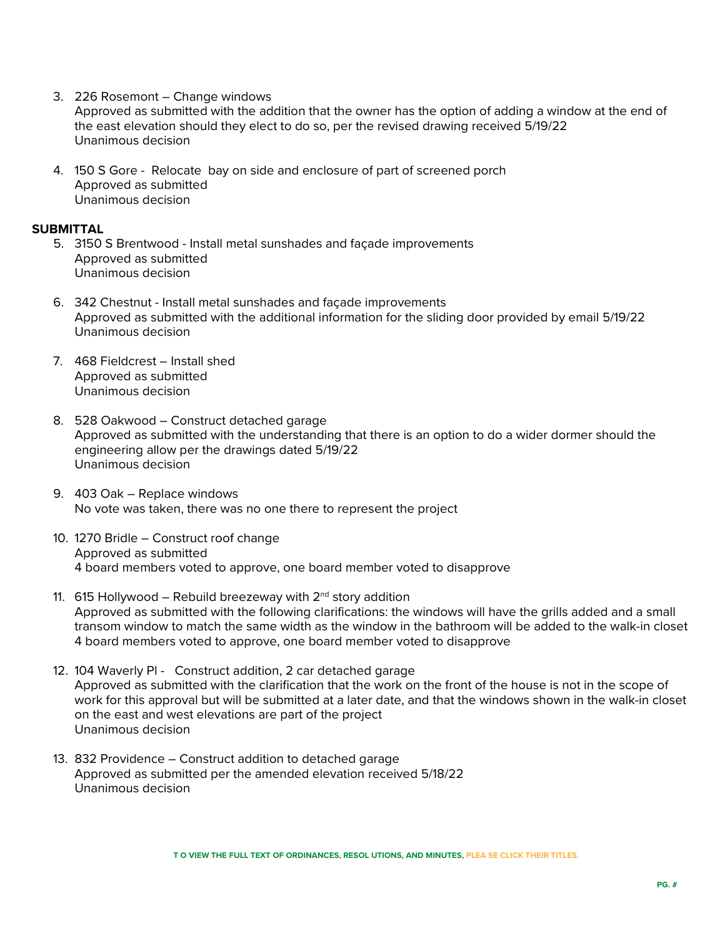3. 226 Rosemont – Change windows

Approved as submitted with the addition that the owner has the option of adding a window at the end of the east elevation should they elect to do so, per the revised drawing received 5/19/22 Unanimous decision

4. 150 S Gore - Relocate bay on side and enclosure of part of screened porch Approved as submitted Unanimous decision

### **SUBMITTAL**

- 5. 3150 S Brentwood Install metal sunshades and façade improvements Approved as submitted Unanimous decision
- 6. 342 Chestnut Install metal sunshades and façade improvements Approved as submitted with the additional information for the sliding door provided by email 5/19/22 Unanimous decision
- 7. 468 Fieldcrest Install shed Approved as submitted Unanimous decision
- 8. 528 Oakwood Construct detached garage Approved as submitted with the understanding that there is an option to do a wider dormer should the engineering allow per the drawings dated 5/19/22 Unanimous decision
- 9. 403 Oak Replace windows No vote was taken, there was no one there to represent the project
- 10. 1270 Bridle Construct roof change Approved as submitted 4 board members voted to approve, one board member voted to disapprove
- 11. 615 Hollywood Rebuild breezeway with  $2^{nd}$  story addition Approved as submitted with the following clarifications: the windows will have the grills added and a small transom window to match the same width as the window in the bathroom will be added to the walk-in closet 4 board members voted to approve, one board member voted to disapprove
- 12. 104 Waverly Pl Construct addition, 2 car detached garage Approved as submitted with the clarification that the work on the front of the house is not in the scope of work for this approval but will be submitted at a later date, and that the windows shown in the walk-in closet on the east and west elevations are part of the project Unanimous decision
- 13. 832 Providence Construct addition to detached garage Approved as submitted per the amended elevation received 5/18/22 Unanimous decision